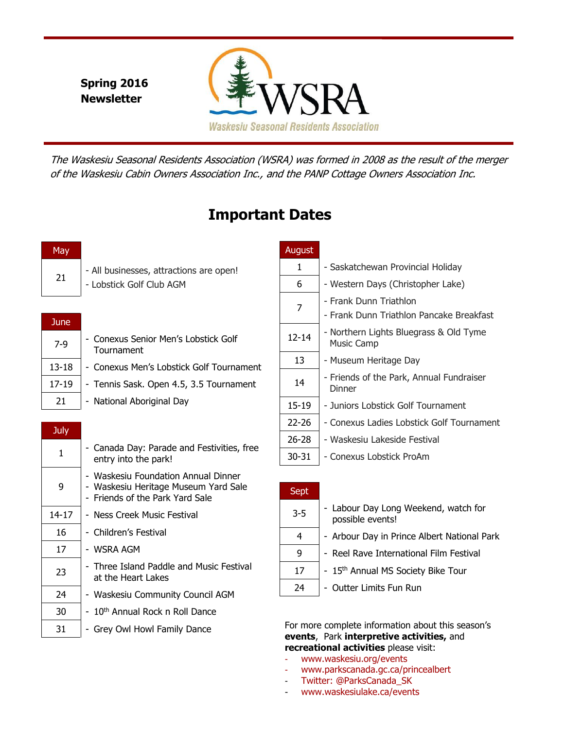**Spring 2016 Newsletter**



The Waskesiu Seasonal Residents Association (WSRA) was formed in 2008 as the result of the merger of the Waskesiu Cabin Owners Association Inc., and the PANP Cottage Owners Association Inc.

# **Important Dates**

21

- All businesses, attractions are open!

- Lobstick Golf Club AGM

| June      |                                                    |
|-----------|----------------------------------------------------|
| $7-9$     | - Conexus Senior Men's Lobstick Golf<br>Tournament |
| $13 - 18$ | - Conexus Men's Lobstick Golf Tournament           |
| $17 - 19$ | - Tennis Sask. Open 4.5, 3.5 Tournament            |
| 21        | - National Aboriginal Day                          |

| July  |                                                                                                                |
|-------|----------------------------------------------------------------------------------------------------------------|
| 1     | - Canada Day: Parade and Festivities, free<br>entry into the park!                                             |
| 9     | - Waskesiu Foundation Annual Dinner<br>- Waskesiu Heritage Museum Yard Sale<br>- Friends of the Park Yard Sale |
| 14-17 | - Ness Creek Music Festival                                                                                    |
| 16    | - Children's Festival                                                                                          |
| 17    | - WSRA AGM                                                                                                     |
| 23    | - Three Island Paddle and Music Festival<br>at the Heart Lakes                                                 |
| 24    | - Waskesiu Community Council AGM                                                                               |
| 30    | - 10 <sup>th</sup> Annual Rock n Roll Dance                                                                    |
| 31    | - Grey Owl Howl Family Dance                                                                                   |

## August

| 1     | - Saskatchewan Provincial Holiday                                  |
|-------|--------------------------------------------------------------------|
| 6     | - Western Days (Christopher Lake)                                  |
| 7     | - Frank Dunn Triathlon<br>- Frank Dunn Triathlon Pancake Breakfast |
| 12-14 | - Northern Lights Bluegrass & Old Tyme<br><b>Music Camp</b>        |
| 13    | - Museum Heritage Day                                              |
| 14    | - Friends of the Park, Annual Fundraiser<br>Dinner                 |
| 15-19 | - Juniors Lobstick Golf Tournament                                 |
| 22-26 | - Conexus Ladies Lobstick Golf Tournament                          |
| 26-28 | - Waskesiu Lakeside Festival                                       |
| 30-31 | - Conexus Lobstick ProAm                                           |

| Sept    |                                                          |
|---------|----------------------------------------------------------|
| $3 - 5$ | - Labour Day Long Weekend, watch for<br>possible events! |
| 4       | - Arbour Day in Prince Albert National Park              |
| 9       | - Reel Rave International Film Festival                  |
| 17      | - 15th Annual MS Society Bike Tour                       |
| 24      | - Outter Limits Fun Run                                  |

For more complete information about this season's **events**, Park **interpretive activities,** and **recreational activities** please visit:

- www.waskesiu.org/events
- www.parkscanada.gc.ca/princealbert
- Twitter: @ParksCanada\_SK
- www.waskesiulake.ca/events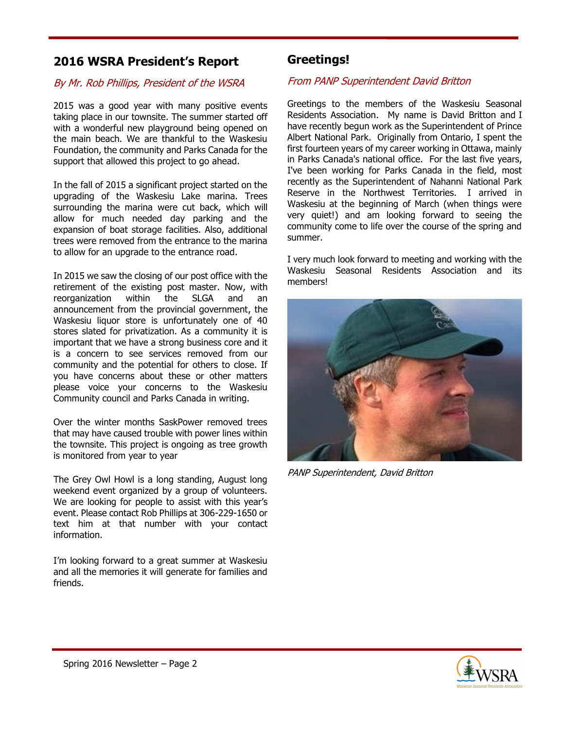## **2016 WSRA President's Report**

### By Mr. Rob Phillips, President of the WSRA

2015 was a good year with many positive events taking place in our townsite. The summer started off with a wonderful new playground being opened on the main beach. We are thankful to the Waskesiu Foundation, the community and Parks Canada for the support that allowed this project to go ahead.

In the fall of 2015 a significant project started on the upgrading of the Waskesiu Lake marina. Trees surrounding the marina were cut back, which will allow for much needed day parking and the expansion of boat storage facilities. Also, additional trees were removed from the entrance to the marina to allow for an upgrade to the entrance road.

In 2015 we saw the closing of our post office with the retirement of the existing post master. Now, with reorganization within the SLGA and an announcement from the provincial government, the Waskesiu liquor store is unfortunately one of 40 stores slated for privatization. As a community it is important that we have a strong business core and it is a concern to see services removed from our community and the potential for others to close. If you have concerns about these or other matters please voice your concerns to the Waskesiu Community council and Parks Canada in writing.

Over the winter months SaskPower removed trees that may have caused trouble with power lines within the townsite. This project is ongoing as tree growth is monitored from year to year

The Grey Owl Howl is a long standing, August long weekend event organized by a group of volunteers. We are looking for people to assist with this year's event. Please contact Rob Phillips at 306-229-1650 or text him at that number with your contact information.

I'm looking forward to a great summer at Waskesiu and all the memories it will generate for families and friends.

## **Greetings!**

#### From PANP Superintendent David Britton

Greetings to the members of the Waskesiu Seasonal Residents Association. My name is David Britton and I have recently begun work as the Superintendent of Prince Albert National Park. Originally from Ontario, I spent the first fourteen years of my career working in Ottawa, mainly in Parks Canada's national office. For the last five years, I've been working for Parks Canada in the field, most recently as the Superintendent of Nahanni National Park Reserve in the Northwest Territories. I arrived in Waskesiu at the beginning of March (when things were very quiet!) and am looking forward to seeing the community come to life over the course of the spring and summer.

I very much look forward to meeting and working with the Waskesiu Seasonal Residents Association and its members!



PANP Superintendent, David Britton

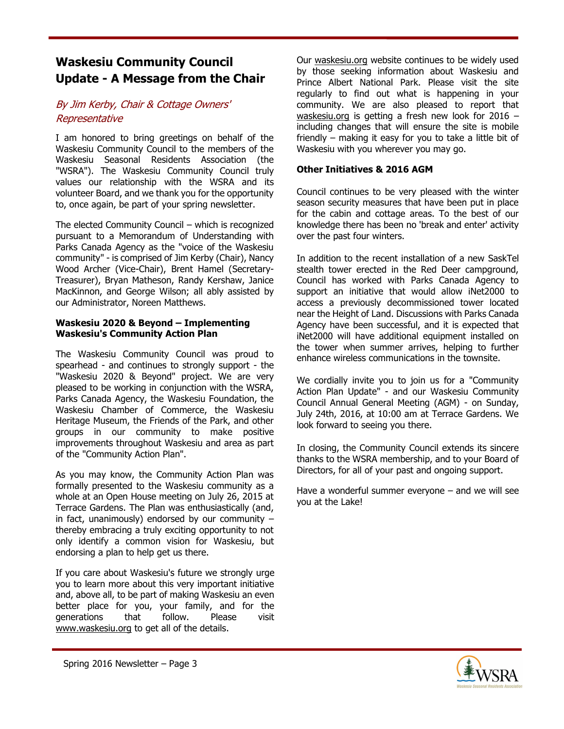## **Waskesiu Community Council Update - A Message from the Chair**

### By Jim Kerby, Chair & Cottage Owners' Representative

I am honored to bring greetings on behalf of the Waskesiu Community Council to the members of the Waskesiu Seasonal Residents Association (the "WSRA"). The Waskesiu Community Council truly values our relationship with the WSRA and its volunteer Board, and we thank you for the opportunity to, once again, be part of your spring newsletter.

The elected Community Council – which is recognized pursuant to a Memorandum of Understanding with Parks Canada Agency as the "voice of the Waskesiu community" - is comprised of Jim Kerby (Chair), Nancy Wood Archer (Vice-Chair), Brent Hamel (Secretary-Treasurer), Bryan Matheson, Randy Kershaw, Janice MacKinnon, and George Wilson; all ably assisted by our Administrator, Noreen Matthews.

#### **Waskesiu 2020 & Beyond – Implementing Waskesiu's Community Action Plan**

The Waskesiu Community Council was proud to spearhead - and continues to strongly support - the "Waskesiu 2020 & Beyond" project. We are very pleased to be working in conjunction with the WSRA, Parks Canada Agency, the Waskesiu Foundation, the Waskesiu Chamber of Commerce, the Waskesiu Heritage Museum, the Friends of the Park, and other groups in our community to make positive improvements throughout Waskesiu and area as part of the "Community Action Plan".

As you may know, the Community Action Plan was formally presented to the Waskesiu community as a whole at an Open House meeting on July 26, 2015 at Terrace Gardens. The Plan was enthusiastically (and, in fact, unanimously) endorsed by our community  $$ thereby embracing a truly exciting opportunity to not only identify a common vision for Waskesiu, but endorsing a plan to help get us there.

If you care about Waskesiu's future we strongly urge you to learn more about this very important initiative and, above all, to be part of making Waskesiu an even better place for you, your family, and for the generations that follow. Please visit www.waskesiu.org to get all of the details.

Our waskesiu.org website continues to be widely used by those seeking information about Waskesiu and Prince Albert National Park. Please visit the site regularly to find out what is happening in your community. We are also pleased to report that waskesiu.org is getting a fresh new look for 2016 including changes that will ensure the site is mobile friendly – making it easy for you to take a little bit of Waskesiu with you wherever you may go.

#### **Other Initiatives & 2016 AGM**

Council continues to be very pleased with the winter season security measures that have been put in place for the cabin and cottage areas. To the best of our knowledge there has been no 'break and enter' activity over the past four winters.

In addition to the recent installation of a new SaskTel stealth tower erected in the Red Deer campground, Council has worked with Parks Canada Agency to support an initiative that would allow iNet2000 to access a previously decommissioned tower located near the Height of Land. Discussions with Parks Canada Agency have been successful, and it is expected that iNet2000 will have additional equipment installed on the tower when summer arrives, helping to further enhance wireless communications in the townsite.

We cordially invite you to join us for a "Community Action Plan Update" - and our Waskesiu Community Council Annual General Meeting (AGM) - on Sunday, July 24th, 2016, at 10:00 am at Terrace Gardens. We look forward to seeing you there.

In closing, the Community Council extends its sincere thanks to the WSRA membership, and to your Board of Directors, for all of your past and ongoing support.

Have a wonderful summer everyone – and we will see you at the Lake!

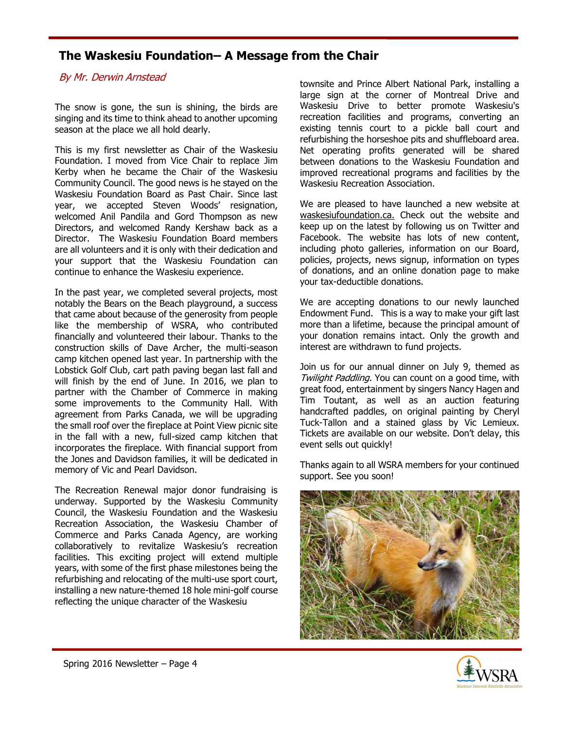## **The Waskesiu Foundation– A Message from the Chair**

### By Mr. Derwin Arnstead

The snow is gone, the sun is shining, the birds are singing and its time to think ahead to another upcoming season at the place we all hold dearly.

This is my first newsletter as Chair of the Waskesiu Foundation. I moved from Vice Chair to replace Jim Kerby when he became the Chair of the Waskesiu Community Council. The good news is he stayed on the Waskesiu Foundation Board as Past Chair. Since last year, we accepted Steven Woods' resignation, welcomed Anil Pandila and Gord Thompson as new Directors, and welcomed Randy Kershaw back as a Director. The Waskesiu Foundation Board members are all volunteers and it is only with their dedication and your support that the Waskesiu Foundation can continue to enhance the Waskesiu experience.

In the past year, we completed several projects, most notably the Bears on the Beach playground, a success that came about because of the generosity from people like the membership of WSRA, who contributed financially and volunteered their labour. Thanks to the construction skills of Dave Archer, the multi-season camp kitchen opened last year. In partnership with the Lobstick Golf Club, cart path paving began last fall and will finish by the end of June. In 2016, we plan to partner with the Chamber of Commerce in making some improvements to the Community Hall. With agreement from Parks Canada, we will be upgrading the small roof over the fireplace at Point View picnic site in the fall with a new, full-sized camp kitchen that incorporates the fireplace. With financial support from the Jones and Davidson families, it will be dedicated in memory of Vic and Pearl Davidson.

The Recreation Renewal major donor fundraising is underway. Supported by the Waskesiu Community Council, the Waskesiu Foundation and the Waskesiu Recreation Association, the Waskesiu Chamber of Commerce and Parks Canada Agency, are working collaboratively to revitalize Waskesiu's recreation facilities. This exciting project will extend multiple years, with some of the first phase milestones being the refurbishing and relocating of the multi-use sport court, installing a new nature-themed 18 hole mini-golf course reflecting the unique character of the Waskesiu

townsite and Prince Albert National Park, installing a large sign at the corner of Montreal Drive and Waskesiu Drive to better promote Waskesiu's recreation facilities and programs, converting an existing tennis court to a pickle ball court and refurbishing the horseshoe pits and shuffleboard area. Net operating profits generated will be shared between donations to the Waskesiu Foundation and improved recreational programs and facilities by the Waskesiu Recreation Association.

We are pleased to have launched a new website at waskesiufoundation.ca. Check out the website and keep up on the latest by following us on Twitter and Facebook. The website has lots of new content, including photo galleries, information on our Board, policies, projects, news signup, information on types of donations, and an online donation page to make your tax-deductible donations.

We are accepting donations to our newly launched Endowment Fund. This is a way to make your gift last more than a lifetime, because the principal amount of your donation remains intact. Only the growth and interest are withdrawn to fund projects.

Join us for our annual dinner on July 9, themed as Twilight Paddling. You can count on a good time, with great food, entertainment by singers Nancy Hagen and Tim Toutant, as well as an auction featuring handcrafted paddles, on original painting by Cheryl Tuck-Tallon and a stained glass by Vic Lemieux. Tickets are available on our website. Don't delay, this event sells out quickly!

Thanks again to all WSRA members for your continued support. See you soon!



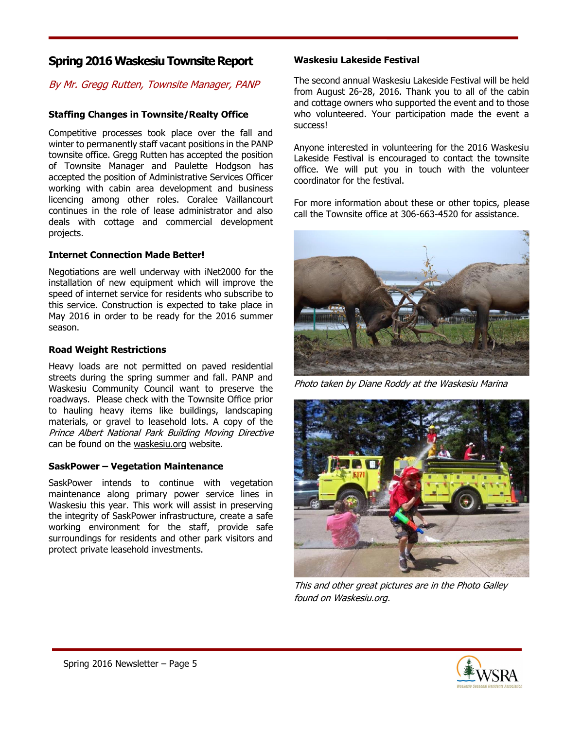### **Spring 2016 Waskesiu Townsite Report**

### By Mr. Gregg Rutten, Townsite Manager, PANP

#### **Staffing Changes in Townsite/Realty Office**

Competitive processes took place over the fall and winter to permanently staff vacant positions in the PANP townsite office. Gregg Rutten has accepted the position of Townsite Manager and Paulette Hodgson has accepted the position of Administrative Services Officer working with cabin area development and business licencing among other roles. Coralee Vaillancourt continues in the role of lease administrator and also deals with cottage and commercial development projects.

#### **Internet Connection Made Better!**

Negotiations are well underway with iNet2000 for the installation of new equipment which will improve the speed of internet service for residents who subscribe to this service. Construction is expected to take place in May 2016 in order to be ready for the 2016 summer season.

#### **Road Weight Restrictions**

Heavy loads are not permitted on paved residential streets during the spring summer and fall. PANP and Waskesiu Community Council want to preserve the roadways. Please check with the Townsite Office prior to hauling heavy items like buildings, landscaping materials, or gravel to leasehold lots. A copy of the Prince Albert National Park Building Moving Directive can be found on the waskesiu.org website.

#### **SaskPower – Vegetation Maintenance**

SaskPower intends to continue with vegetation maintenance along primary power service lines in Waskesiu this year. This work will assist in preserving the integrity of SaskPower infrastructure, create a safe working environment for the staff, provide safe surroundings for residents and other park visitors and protect private leasehold investments.

#### **Waskesiu Lakeside Festival**

The second annual Waskesiu Lakeside Festival will be held from August 26-28, 2016. Thank you to all of the cabin and cottage owners who supported the event and to those who volunteered. Your participation made the event a success!

Anyone interested in volunteering for the 2016 Waskesiu Lakeside Festival is encouraged to contact the townsite office. We will put you in touch with the volunteer coordinator for the festival.

For more information about these or other topics, please call the Townsite office at 306-663-4520 for assistance.



Photo taken by Diane Roddy at the Waskesiu Marina



This and other great pictures are in the Photo Galley found on Waskesiu.org.

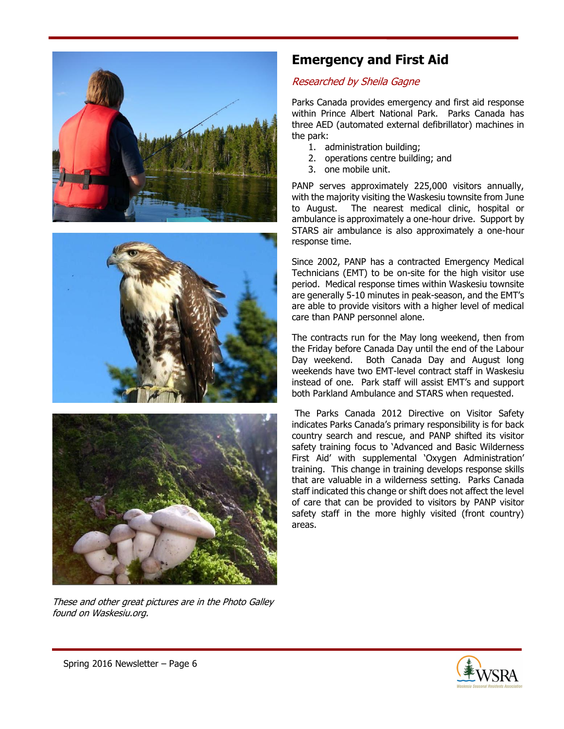





These and other great pictures are in the Photo Galley found on Waskesiu.org.

## **Emergency and First Aid**

### Researched by Sheila Gagne

Parks Canada provides emergency and first aid response within Prince Albert National Park. Parks Canada has three AED (automated external defibrillator) machines in the park:

- 1. administration building;
- 2. operations centre building; and
- 3. one mobile unit.

PANP serves approximately 225,000 visitors annually, with the majority visiting the Waskesiu townsite from June to August. The nearest medical clinic, hospital or ambulance is approximately a one-hour drive. Support by STARS air ambulance is also approximately a one-hour response time.

Since 2002, PANP has a contracted Emergency Medical Technicians (EMT) to be on-site for the high visitor use period. Medical response times within Waskesiu townsite are generally 5-10 minutes in peak-season, and the EMT's are able to provide visitors with a higher level of medical care than PANP personnel alone.

The contracts run for the May long weekend, then from the Friday before Canada Day until the end of the Labour Day weekend. Both Canada Day and August long weekends have two EMT-level contract staff in Waskesiu instead of one. Park staff will assist EMT's and support both Parkland Ambulance and STARS when requested.

The Parks Canada 2012 Directive on Visitor Safety indicates Parks Canada's primary responsibility is for back country search and rescue, and PANP shifted its visitor safety training focus to 'Advanced and Basic Wilderness First Aid' with supplemental 'Oxygen Administration' training. This change in training develops response skills that are valuable in a wilderness setting. Parks Canada staff indicated this change or shift does not affect the level of care that can be provided to visitors by PANP visitor safety staff in the more highly visited (front country) areas.

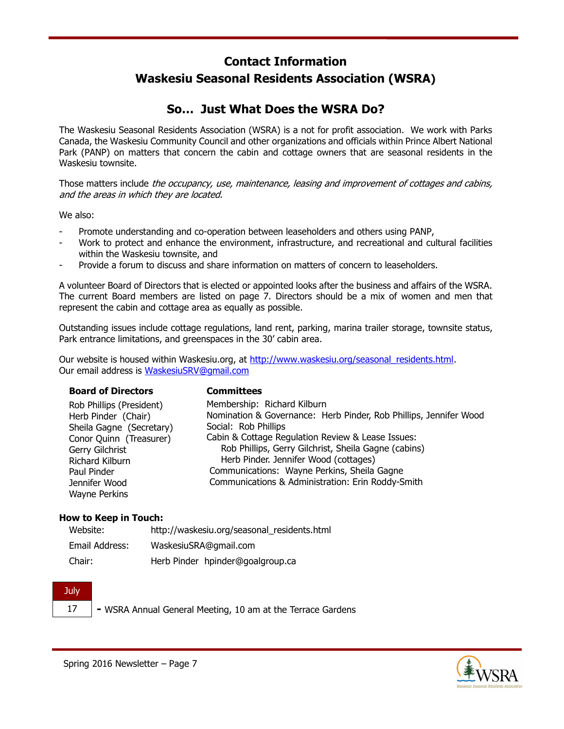## **Contact Information Waskesiu Seasonal Residents Association (WSRA)**

## **So… Just What Does the WSRA Do?**

The Waskesiu Seasonal Residents Association (WSRA) is a not for profit association. We work with Parks Canada, the Waskesiu Community Council and other organizations and officials within Prince Albert National Park (PANP) on matters that concern the cabin and cottage owners that are seasonal residents in the Waskesiu townsite.

Those matters include the occupancy, use, maintenance, leasing and improvement of cottages and cabins, and the areas in which they are located.

We also:

- Promote understanding and co-operation between leaseholders and others using PANP,
- Work to protect and enhance the environment, infrastructure, and recreational and cultural facilities within the Waskesiu townsite, and
- Provide a forum to discuss and share information on matters of concern to leaseholders.

A volunteer Board of Directors that is elected or appointed looks after the business and affairs of the WSRA. The current Board members are listed on page 7. Directors should be a mix of women and men that represent the cabin and cottage area as equally as possible.

Outstanding issues include cottage regulations, land rent, parking, marina trailer storage, townsite status, Park entrance limitations, and greenspaces in the 30' cabin area.

Our website is housed within Waskesiu.org, at http://www.waskesiu.org/seasonal\_residents.html. Our email address is WaskesiuSRV@gmail.com

| <b>Board of Directors</b> | <b>Committees</b>                                                 |
|---------------------------|-------------------------------------------------------------------|
| Rob Phillips (President)  | Membership: Richard Kilburn                                       |
| Herb Pinder (Chair)       | Nomination & Governance: Herb Pinder, Rob Phillips, Jennifer Wood |
| Sheila Gagne (Secretary)  | Social: Rob Phillips                                              |
| Conor Quinn (Treasurer)   | Cabin & Cottage Regulation Review & Lease Issues:                 |
| Gerry Gilchrist           | Rob Phillips, Gerry Gilchrist, Sheila Gagne (cabins)              |
| Richard Kilburn           | Herb Pinder. Jennifer Wood (cottages)                             |
| Paul Pinder               | Communications: Wayne Perkins, Sheila Gagne                       |
| Jennifer Wood             | Communications & Administration: Erin Roddy-Smith                 |
| <b>Wayne Perkins</b>      |                                                                   |

#### **How to Keep in Touch:**

| Website:       | http://waskesiu.org/seasonal residents.html |
|----------------|---------------------------------------------|
| Email Address: | WaskesiuSRA@gmail.com                       |
| Chair:         | Herb Pinder hpinder@goalgroup.ca            |

#### **July** 17 **-** WSRA Annual General Meeting, 10 am at the Terrace Gardens